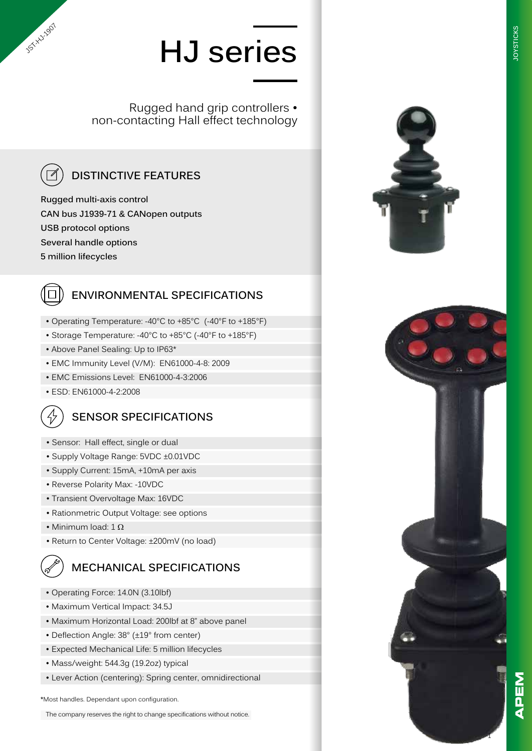Rugged hand grip controllers • non-contacting Hall effect technology



**15-**Hyz.2007

## **DISTINCTIVE FEATURES**

**Rugged multi-axis control CAN bus J1939-71 & CANopen outputs USB protocol options Several handle options 5 million lifecycles**

### **ENVIRONMENTAL SPECIFICATIONS**

- Operating Temperature: -40°C to +85°C (-40°F to +185°F)
- Storage Temperature: -40°C to +85°C (-40°F to +185°F)
- Above Panel Sealing: Up to IP63\*
- EMC Immunity Level (V/M): EN61000-4-8: 2009
- EMC Emissions Level: EN61000-4-3:2006
- ESD: EN61000-4-2:2008

### **SENSOR SPECIFICATIONS**

- Sensor: Hall effect, single or dual
- Supply Voltage Range: 5VDC ±0.01VDC
- Supply Current: 15mA, +10mA per axis
- Reverse Polarity Max: -10VDC
- Transient Overvoltage Max: 16VDC
- Rationmetric Output Voltage: see options
- Minimum load:  $1 \Omega$
- Return to Center Voltage: ±200mV (no load)

### **MECHANICAL SPECIFICATIONS**

- Operating Force: 14.0N (3.10lbf)
- Maximum Vertical Impact: 34.5J
- Maximum Horizontal Load: 200lbf at 8" above panel
- Deflection Angle: 38° (±19° from center)
- Expected Mechanical Life: 5 million lifecycles
- Mass/weight: 544.3g (19.2oz) typical
- Lever Action (centering): Spring center, omnidirectional

**\***Most handles. Dependant upon configuration.

The company reserves the right to change specifications without notice.



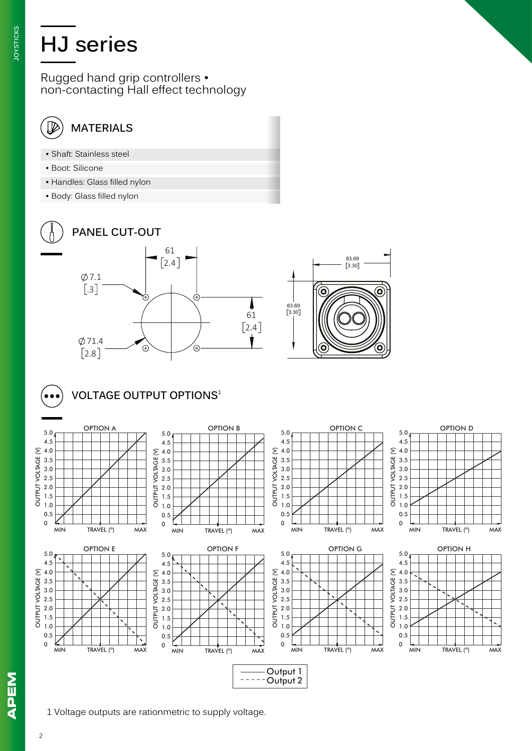Rugged hand grip controllers • non-contacting Hall effect technology

#### $\overline{\mathbb{\mathscr{V}}}$ **MATERIALS**

- Shaft: Stainless steel
- Boot: Silicone
- Handles: Glass filled nylon
- Body: Glass filled nylon



### **PANEL CUT-OUT**





5.0 $_{\rm N}$ 4.5 4.0 3.5 3.0 2.5 2.0 1.5 1.0 0.5 0

OUTPUT VOLTAGE (V)

### **VOLTAGE OUTPUT OPTIONS** ¹





MIN TRAVEL (º) MAX





#### OPTION E OPTION F OPTION G OPTION H 5.0 5.0 4.5 4.5  $\sum 4.0$  $\sum$  4.0 OUTPUT VOLTAGE (V) **OUTPUT VOLTAGE** 3.5 3.5 3.0 3.0 2.5 2.5 2.0 2.0 1.5 1.5 1.0 1.0 0.5 0.5 0 0 MIN TRAVEL (º) MAX MIN TRAVEL (º) MAX MIN TRAVEL (º) MAX

Output 1  $---$ Output 2

OUTPUT VOLTAGE (V)

**APEM** 

5.0 4.5 4.0 3.5 3.0 2.5 2.0 1.5 1.0 0.5 0

OUTPUT VOLTAGE (V)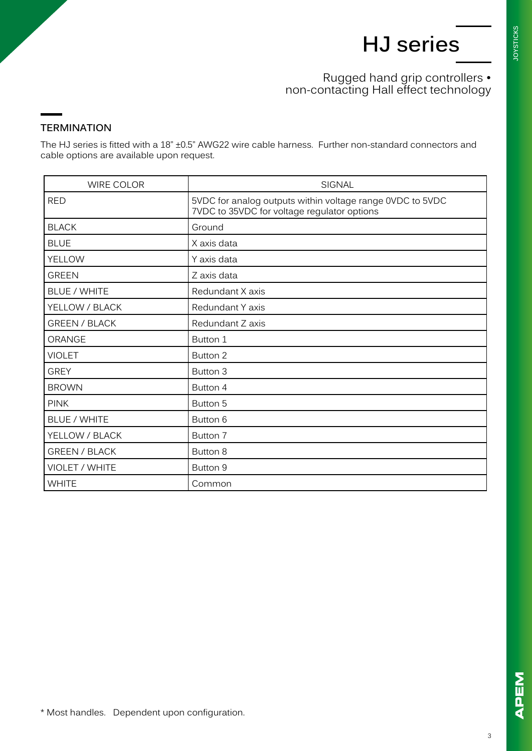### Rugged hand grip controllers • non-contacting Hall effect technology

#### **TERMINATION**

The HJ series is fitted with a 18" ±0.5" AWG22 wire cable harness. Further non-standard connectors and cable options are available upon request.

| <b>WIRE COLOR</b>    | <b>SIGNAL</b>                                                                                            |
|----------------------|----------------------------------------------------------------------------------------------------------|
| <b>RED</b>           | 5VDC for analog outputs within voltage range 0VDC to 5VDC<br>7VDC to 35VDC for voltage regulator options |
| <b>BLACK</b>         | Ground                                                                                                   |
| <b>BLUE</b>          | X axis data                                                                                              |
| YELLOW               | Y axis data                                                                                              |
| <b>GREEN</b>         | Z axis data                                                                                              |
| <b>BLUE / WHITE</b>  | Redundant X axis                                                                                         |
| YELLOW / BLACK       | Redundant Y axis                                                                                         |
| <b>GREEN / BLACK</b> | Redundant Z axis                                                                                         |
| ORANGE               | Button 1                                                                                                 |
| <b>VIOLET</b>        | Button 2                                                                                                 |
| <b>GREY</b>          | Button 3                                                                                                 |
| <b>BROWN</b>         | Button 4                                                                                                 |
| <b>PINK</b>          | Button 5                                                                                                 |
| <b>BLUE / WHITE</b>  | Button 6                                                                                                 |
| YELLOW / BLACK       | Button 7                                                                                                 |
| <b>GREEN / BLACK</b> | Button 8                                                                                                 |
| VIOLET / WHITE       | Button 9                                                                                                 |
| <b>WHITE</b>         | Common                                                                                                   |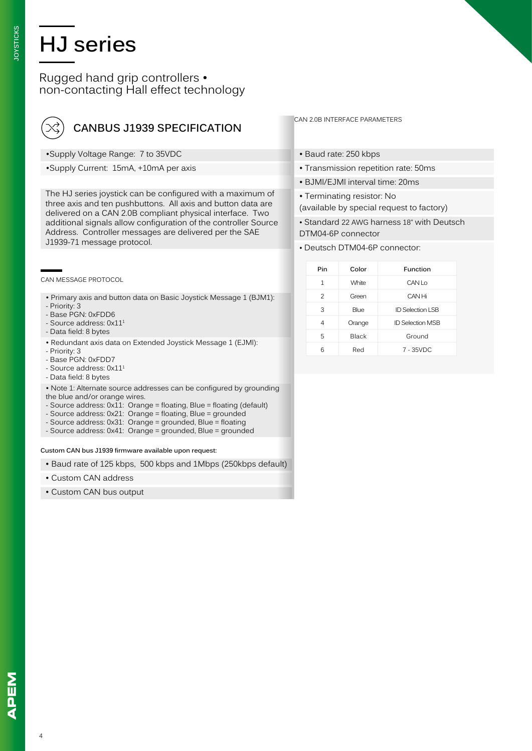#### Rugged hand grip controllers • non-contacting Hall effect technology

| $\left(\!\!\!\begin{array}{c}\propto\end{array}\!\!\!\right)$ CANBUS J1939 SPECIFICATION |
|------------------------------------------------------------------------------------------|
|                                                                                          |

- •Supply Voltage Range: 7 to 35VDC
- •Supply Current: 15mA, +10mA per axis

The HJ series joystick can be configured with a maximum of three axis and ten pushbuttons. All axis and button data are delivered on a CAN 2.0B compliant physical interface. Two additional signals allow configuration of the controller Source Address. Controller messages are delivered per the SAE J1939-71 message protocol.

CAN MESSAGE PROTOCOL

- Primary axis and button data on Basic Joystick Message 1 (BJM1):
- Priority: 3
- Base PGN: 0xFDD6
- Source address: 0x11<sup>1</sup>
- Data field: 8 bytes
- Redundant axis data on Extended Joystick Message 1 (EJMl):
- Priority: 3
- Base PGN: 0xFDD7
- Source address: 0x11<sup>1</sup>
- Data field: 8 bytes

• Note 1: Alternate source addresses can be configured by grounding the blue and/or orange wires.

- Source address:  $0x11$ : Orange = floating, Blue = floating (default)
- Source address: 0x21: Orange = floating, Blue = grounded
- Source address: 0x31: Orange = grounded, Blue = floating
- Source address: 0x41: Orange = grounded, Blue = grounded

**Custom CAN bus J1939 firmware available upon request:**

- Baud rate of 125 kbps, 500 kbps and 1Mbps (250kbps default)
- Custom CAN address
- Custom CAN bus output

#### CAN 2.0B INTERFACE PARAMETERS

- Baud rate: 250 kbps
- Transmission repetition rate: 50ms
- BJMl/EJMl interval time: 20ms
- Terminating resistor: No (available by special request to factory)

• Standard 22 AWG harness 18" with Deutsch DTM04-6P connector

• Deutsch DTM04-6P connector:

| Pin            | Color        | Function                |
|----------------|--------------|-------------------------|
| 1              | <b>White</b> | CANLO                   |
| $\overline{2}$ | Green        | CAN Hi                  |
| 3              | Blue         | <b>ID Selection LSB</b> |
| 4              | Orange       | <b>ID Selection MSB</b> |
| 5              | <b>Black</b> | Ground                  |
| 6              | Red          | $7 - 35VDC$             |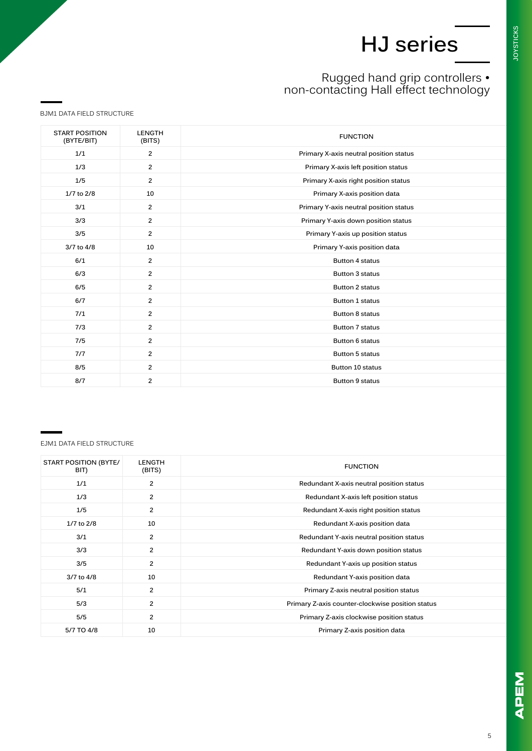### Rugged hand grip controllers • non-contacting Hall effect technology

BJM1 DATA FIELD STRUCTURE

| <b>START POSITION</b><br>(BYTE/BIT) | <b>LENGTH</b><br>(BITS) | <b>FUNCTION</b>                        |
|-------------------------------------|-------------------------|----------------------------------------|
| 1/1                                 | $\overline{2}$          | Primary X-axis neutral position status |
| 1/3                                 | $\overline{2}$          | Primary X-axis left position status    |
| 1/5                                 | $\overline{2}$          | Primary X-axis right position status   |
| 1/7 to 2/8                          | 10                      | Primary X-axis position data           |
| 3/1                                 | $\overline{2}$          | Primary Y-axis neutral position status |
| 3/3                                 | $\overline{2}$          | Primary Y-axis down position status    |
| 3/5                                 | $\overline{2}$          | Primary Y-axis up position status      |
| 3/7 to 4/8                          | 10                      | Primary Y-axis position data           |
| 6/1                                 | $\overline{2}$          | <b>Button 4 status</b>                 |
| 6/3                                 | $\overline{2}$          | <b>Button 3 status</b>                 |
| 6/5                                 | $\overline{2}$          | <b>Button 2 status</b>                 |
| 6/7                                 | $\overline{2}$          | <b>Button 1 status</b>                 |
| 7/1                                 | $\overline{2}$          | <b>Button 8 status</b>                 |
| 7/3                                 | $\overline{2}$          | <b>Button 7 status</b>                 |
| 7/5                                 | $\overline{2}$          | Button 6 status                        |
| 7/7                                 | $\overline{2}$          | <b>Button 5 status</b>                 |
| 8/5                                 | $\overline{2}$          | Button 10 status                       |
| 8/7                                 | $\overline{2}$          | <b>Button 9 status</b>                 |

EJM1 DATA FIELD STRUCTURE

| <b>FUNCTION</b>                                  | <b>LENGTH</b><br>(BITS) | <b>START POSITION (BYTE/</b><br>BIT) |
|--------------------------------------------------|-------------------------|--------------------------------------|
| Redundant X-axis neutral position status         | $\overline{2}$          | 1/1                                  |
| Redundant X-axis left position status            | $\overline{2}$          | 1/3                                  |
| Redundant X-axis right position status           | $\overline{2}$          | 1/5                                  |
| Redundant X-axis position data                   | 10                      | 1/7 to 2/8                           |
| Redundant Y-axis neutral position status         | $\overline{2}$          | 3/1                                  |
| Redundant Y-axis down position status            | $\overline{2}$          | 3/3                                  |
| Redundant Y-axis up position status              | $\overline{2}$          | 3/5                                  |
| Redundant Y-axis position data                   | 10                      | 3/7 to 4/8                           |
| Primary Z-axis neutral position status           | $\overline{2}$          | 5/1                                  |
| Primary Z-axis counter-clockwise position status | $\overline{2}$          | 5/3                                  |
| Primary Z-axis clockwise position status         | $\overline{2}$          | 5/5                                  |
| Primary Z-axis position data                     | 10                      | 5/7 TO 4/8                           |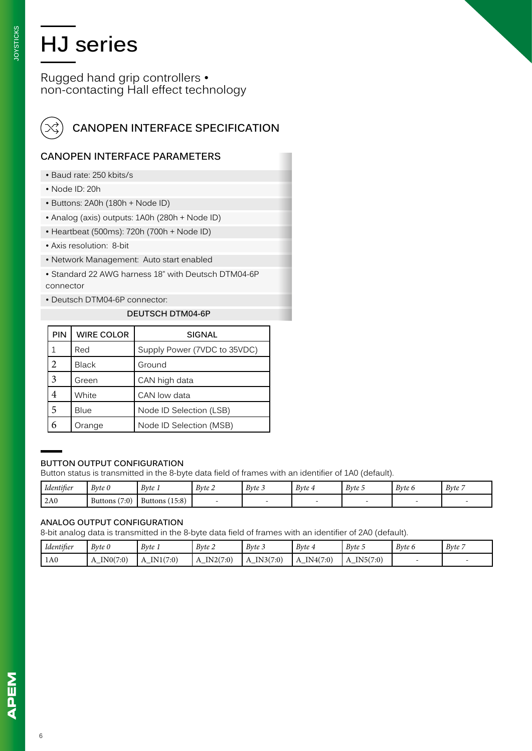Rugged hand grip controllers • non-contacting Hall effect technology



## **CANOPEN INTERFACE SPECIFICATION**

#### **CANOPEN INTERFACE PARAMETERS**

- Baud rate: 250 kbits/s
- Node ID: 20h
- Buttons: 2A0h (180h + Node ID)
- Analog (axis) outputs: 1A0h (280h + Node ID)
- Heartbeat (500ms): 720h (700h + Node ID)
- Axis resolution: 8-bit
- Network Management: Auto start enabled
- Standard 22 AWG harness 18" with Deutsch DTM04-6P connector
- Deutsch DTM04-6P connector:

#### **DEUTSCH DTM04-6P**

| <b>PIN</b>     | <b>WIRE COLOR</b> | <b>SIGNAL</b>                |
|----------------|-------------------|------------------------------|
| 1              | Red               | Supply Power (7VDC to 35VDC) |
| $\overline{c}$ | <b>Black</b>      | Ground                       |
| 3              | Green             | CAN high data                |
| 4              | White             | CAN low data                 |
| 5              | Blue              | Node ID Selection (LSB)      |
| 6              | Orange            | Node ID Selection (MSB)      |

#### **BUTTON OUTPUT CONFIGURATION**

Button status is transmitted in the 8-byte data field of frames with an identifier of 1A0 (default).

| Identifier | B v t e 0       | Byte 1            | Byte 2 | Byte 3 | Byte 4 | Byte 5 | Byte 6 | Byte 7 |
|------------|-----------------|-------------------|--------|--------|--------|--------|--------|--------|
| 2A0        | Buttons $(7:0)$ | (15:8)<br>Buttons |        |        |        |        |        |        |

#### **ANALOG OUTPUT CONFIGURATION**

8-bit analog data is transmitted in the 8-byte data field of frames with an identifier of 2A0 (default).

| Identifier | B v t e 0 | Byte 1                     | Byte 2        | $B$ <i>yte</i> $3$ | $B$ <i>vte</i> $4$ | Byte 5   | Byte 6 | B v t e |
|------------|-----------|----------------------------|---------------|--------------------|--------------------|----------|--------|---------|
| 1A0        | IN0(7:0)  | IN1(7:0)<br>$\overline{1}$ | IN2(7:0)<br>А | IN3(7:0)           | IN4(7:0)<br>A      | IN5(7:0) |        |         |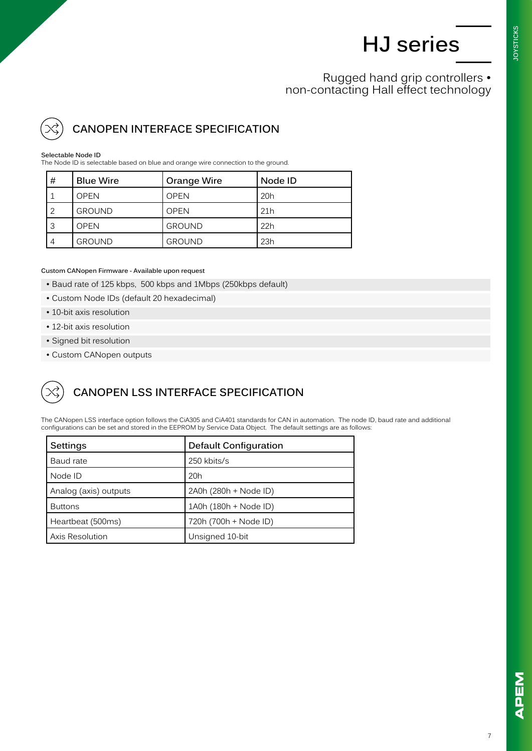**JOYSTICKS JOYSTICKS**

Rugged hand grip controllers • non-contacting Hall effect technology

## **CANOPEN INTERFACE SPECIFICATION**

#### **Selectable Node ID**

The Node ID is selectable based on blue and orange wire connection to the ground.

| #              | <b>Blue Wire</b> | Orange Wire   | Node ID |
|----------------|------------------|---------------|---------|
|                | <b>OPEN</b>      | <b>OPEN</b>   | 20h     |
| 2              | <b>GROUND</b>    | <b>OPEN</b>   | 21h     |
| 3              | <b>OPEN</b>      | <b>GROUND</b> | 22h     |
| $\overline{A}$ | <b>GROUND</b>    | <b>GROUND</b> | 23h     |

#### **Custom CANopen Firmware - Available upon request**

- Baud rate of 125 kbps, 500 kbps and 1Mbps (250kbps default)
- Custom Node IDs (default 20 hexadecimal)
- 10-bit axis resolution
- 12-bit axis resolution
- Signed bit resolution
- Custom CANopen outputs

### **CANOPEN LSS INTERFACE SPECIFICATION**

The CANopen LSS interface option follows the CiA305 and CiA401 standards for CAN in automation. The node ID, baud rate and additional configurations can be set and stored in the EEPROM by Service Data Object. The default settings are as follows:

| Settings              | <b>Default Configuration</b> |
|-----------------------|------------------------------|
| Baud rate             | 250 kbits/s                  |
| Node ID               | 20h                          |
| Analog (axis) outputs | 2A0h (280h + Node ID)        |
| <b>Buttons</b>        | 1A0h (180h + Node ID)        |
| Heartbeat (500ms)     | 720h (700h + Node ID)        |
| Axis Resolution       | Unsigned 10-bit              |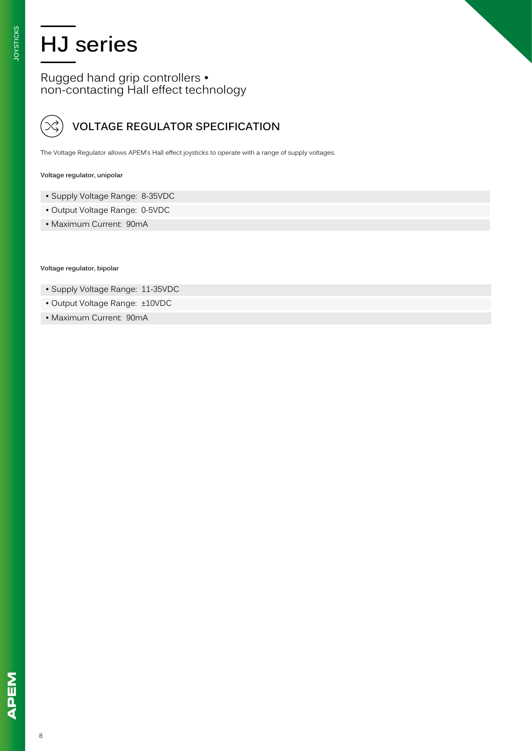Rugged hand grip controllers • non-contacting Hall effect technology

## **VOLTAGE REGULATOR SPECIFICATION**

The Voltage Regulator allows APEM's Hall effect joysticks to operate with a range of supply voltages.

#### **Voltage regulator, unipolar**

- Supply Voltage Range: 8-35VDC
- Output Voltage Range: 0-5VDC
- Maximum Current: 90mA

**Voltage regulator, bipolar** 

- Supply Voltage Range: 11-35VDC
- Output Voltage Range: ±10VDC
- Maximum Current: 90mA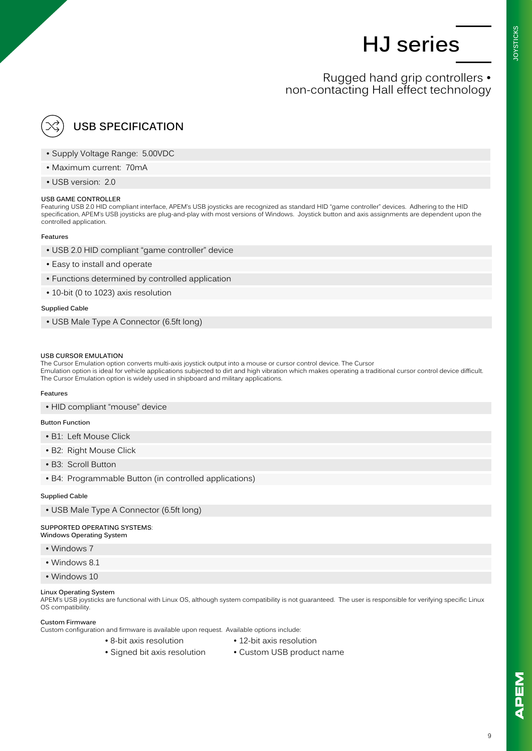**OYSTICKS JOYSTICKS**

### Rugged hand grip controllers • non-contacting Hall effect technology

## **USB SPECIFICATION**

- Supply Voltage Range: 5.00VDC
- Maximum current: 70mA
- USB version: 2.0

#### **USB GAME CONTROLLER**

Featuring USB 2.0 HID compliant interface, APEM's USB joysticks are recognized as standard HID "game controller" devices. Adhering to the HID specification, APEM's USB joysticks are plug-and-play with most versions of Windows. Joystick button and axis assignments are dependent upon the controlled application.

#### **Features**

- USB 2.0 HID compliant "game controller" device
- Easy to install and operate
- Functions determined by controlled application
- 10-bit (0 to 1023) axis resolution

#### **Supplied Cable**

• USB Male Type A Connector (6.5ft long)

#### **USB CURSOR EMULATION**

The Cursor Emulation option converts multi-axis joystick output into a mouse or cursor control device. The Cursor Emulation option is ideal for vehicle applications subjected to dirt and high vibration which makes operating a traditional cursor control device difficult. The Cursor Emulation option is widely used in shipboard and military applications.

#### **Features**

• HID compliant "mouse" device

#### **Button Function**

- B1: Left Mouse Click
- B2: Right Mouse Click
- B3: Scroll Button
- B4: Programmable Button (in controlled applications)

#### **Supplied Cable**

• USB Male Type A Connector (6.5ft long)

#### **SUPPORTED OPERATING SYSTEMS**: **Windows Operating System**

- Windows 7
- Windows 8.1
- Windows 10

#### **Linux Operating System**

APEM's USB joysticks are functional with Linux OS, although system compatibility is not guaranteed. The user is responsible for verifying specific Linux OS compatibility.

#### **Custom Firmware**

Custom configuration and firmware is available upon request. Available options include:

- 
- 8-bit axis resolution 12-bit axis resolution
- Signed bit axis resolution Custom USB product name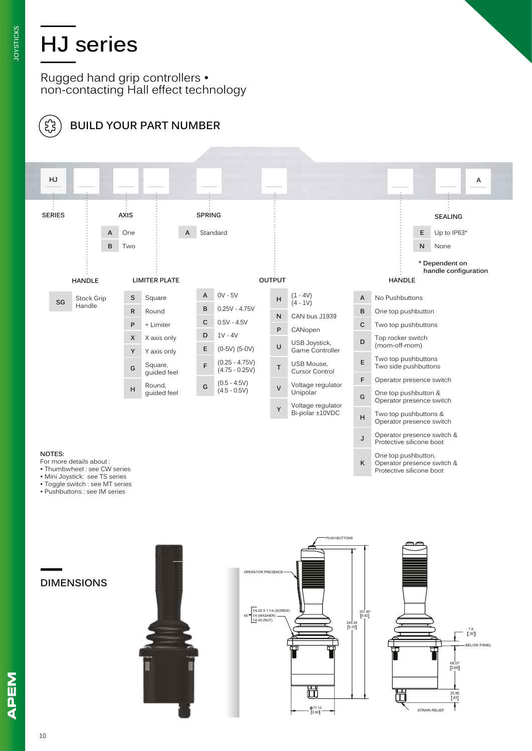Rugged hand grip controllers • non-contacting Hall effect technology



### **BUILD YOUR PART NUMBER**



- 
- Mini Joystick: see TS series
- Toggle switch : see MT series
- Pushbuttons : see IM series

**DIMENSIONS**





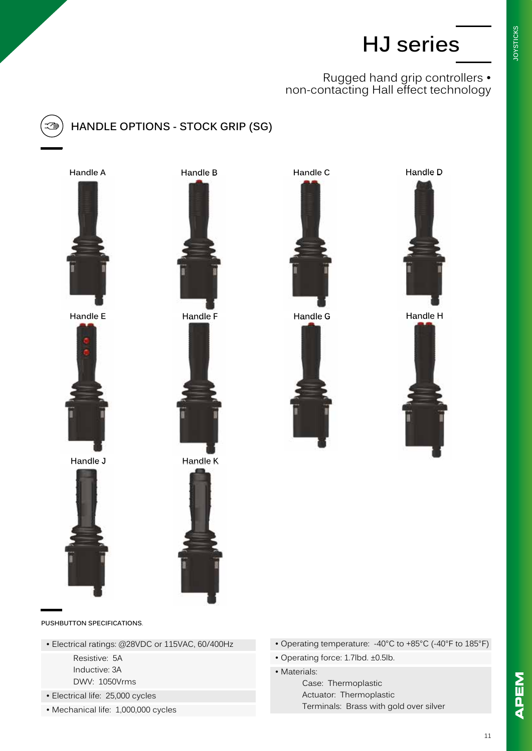### Rugged hand grip controllers • non-contacting Hall effect technology



## **HANDLE OPTIONS - STOCK GRIP (SG)**







**Handle J Handle K**









**Handle E Handle F Handle G Handle H**







**PUSHBUTTON SPECIFICATIONS**.

- Electrical ratings: @28VDC or 115VAC, 60/400Hz
	- Resistive: 5A Inductive: 3A DWV: 1050Vrms
- Electrical life: 25,000 cycles
- Mechanical life: 1,000,000 cycles
- Operating temperature: -40°C to +85°C (-40°F to 185°F)
- Operating force: 1.7lbd. ±0.5lb.
- Materials:
	- Case: Thermoplastic Actuator: Thermoplastic Terminals: Brass with gold over silver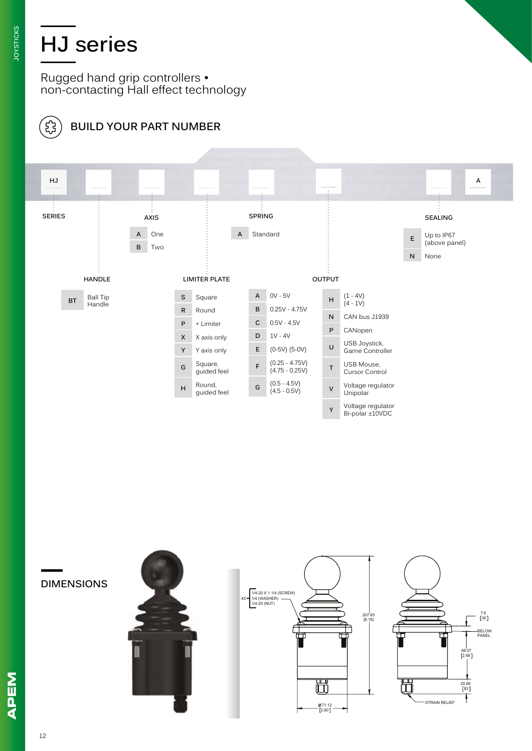Rugged hand grip controllers • non-contacting Hall effect technology



## **BUILD YOUR PART NUMBER**



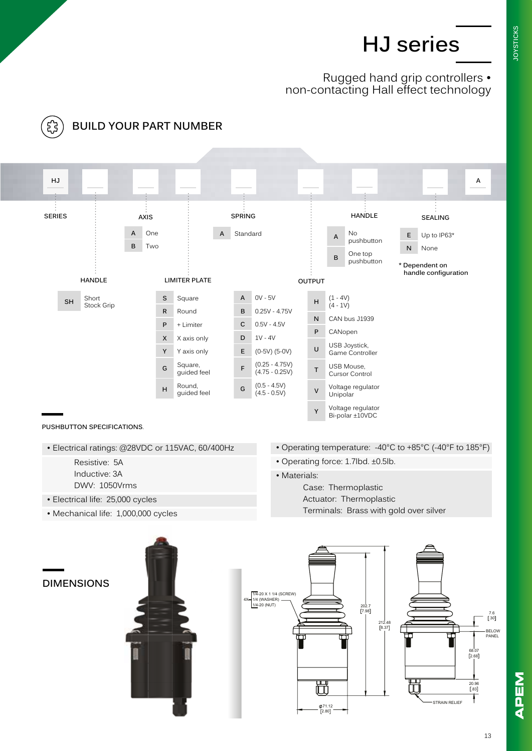**JOYSTICKS JOYSTICKS**

### Rugged hand grip controllers • non-contacting Hall effect technology



71.12 2.80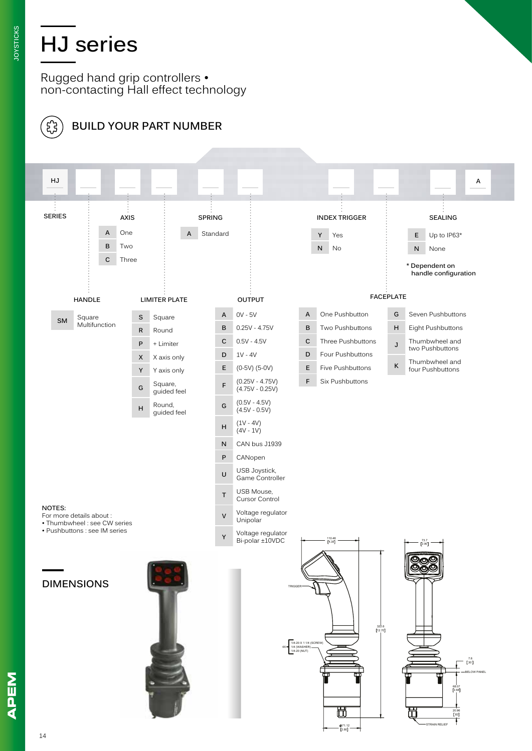Rugged hand grip controllers • non-contacting Hall effect technology

**BUILD YOUR PART NUMBER**



NBEN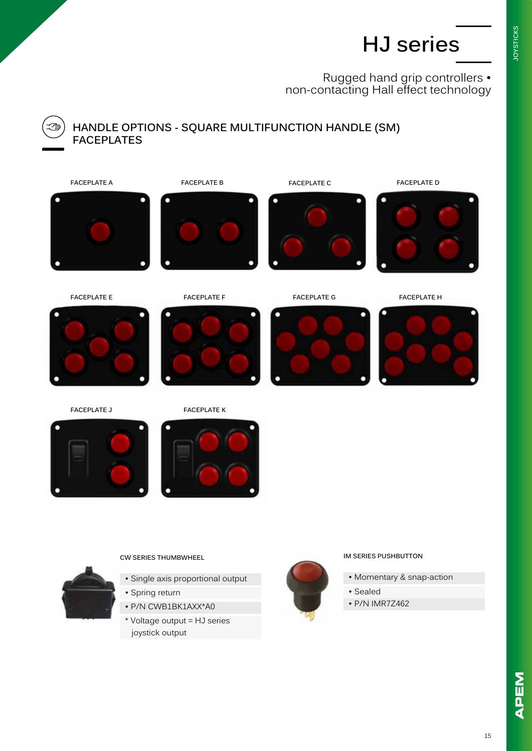Rugged hand grip controllers • non-contacting Hall effect technology



#### **HANDLE OPTIONS - SQUARE MULTIFUNCTION HANDLE (SM) FACEPLATES**







**FACEPLATE E FACEPLATE F FACEPLATE G FACEPLATE H**





**FACEPLATE J FACEPLATE K**



**CW SERIES THUMBWHEEL**

- Single axis proportional output
- Spring return
- P/N CWB1BK1AXX\*A0
- \* Voltage output = HJ series joystick output



#### **IM SERIES PUSHBUTTON**

- Momentary & snap-action
- Sealed
- P/N IMR7Z462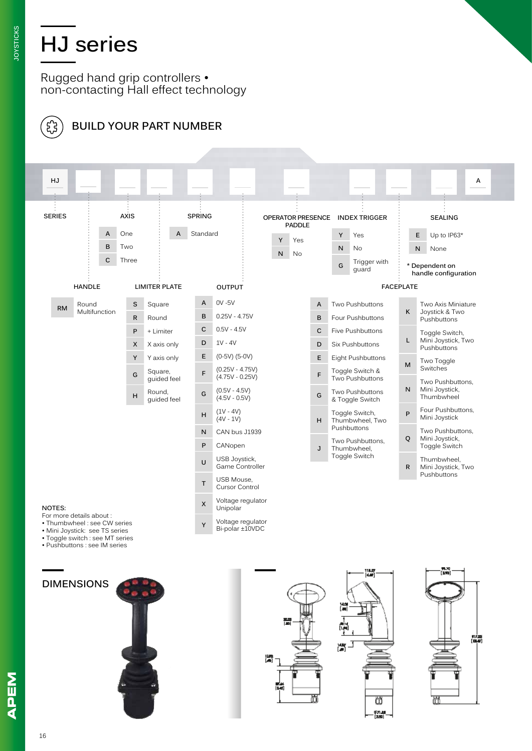Rugged hand grip controllers • non-contacting Hall effect technology



## **BUILD YOUR PART NUMBER**



- Toggle switch : see MT series
- Pushbuttons : see IM series

**DIMENSIONS**